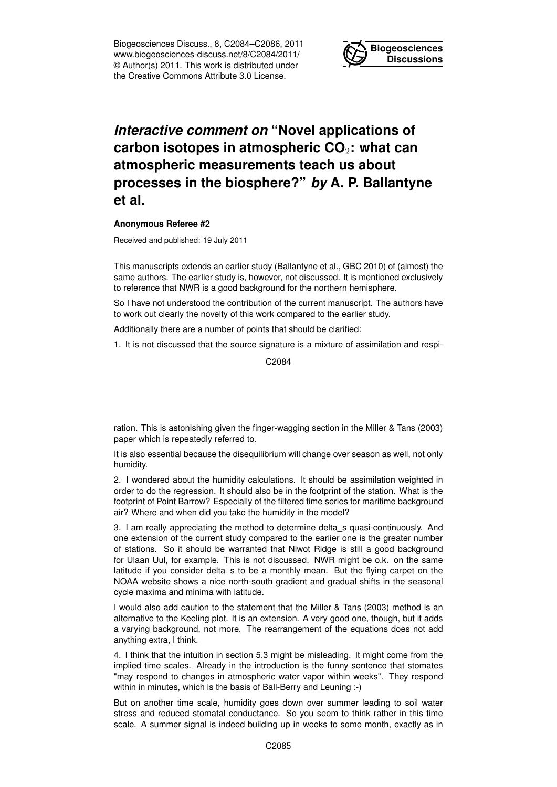Biogeosciences Discuss., 8, C2084–C2086, 2011 www.biogeosciences-discuss.net/8/C2084/2011/ © Author(s) 2011. This work is distributed under the Creative Commons Attribute 3.0 License.



## *Interactive comment on* **"Novel applications of carbon isotopes in atmospheric CO**2**: what can atmospheric measurements teach us about processes in the biosphere?"** *by* **A. P. Ballantyne et al.**

## **Anonymous Referee #2**

Received and published: 19 July 2011

This manuscripts extends an earlier study (Ballantyne et al., GBC 2010) of (almost) the same authors. The earlier study is, however, not discussed. It is mentioned exclusively to reference that NWR is a good background for the northern hemisphere.

So I have not understood the contribution of the current manuscript. The authors have to work out clearly the novelty of this work compared to the earlier study.

Additionally there are a number of points that should be clarified:

1. It is not discussed that the source signature is a mixture of assimilation and respi-

C2084

ration. This is astonishing given the finger-wagging section in the Miller & Tans (2003) paper which is repeatedly referred to.

It is also essential because the disequilibrium will change over season as well, not only humidity.

2. I wondered about the humidity calculations. It should be assimilation weighted in order to do the regression. It should also be in the footprint of the station. What is the footprint of Point Barrow? Especially of the filtered time series for maritime background air? Where and when did you take the humidity in the model?

3. I am really appreciating the method to determine delta\_s quasi-continuously. And one extension of the current study compared to the earlier one is the greater number of stations. So it should be warranted that Niwot Ridge is still a good background for Ulaan Uul, for example. This is not discussed. NWR might be o.k. on the same latitude if you consider delta\_s to be a monthly mean. But the flying carpet on the NOAA website shows a nice north-south gradient and gradual shifts in the seasonal cycle maxima and minima with latitude.

I would also add caution to the statement that the Miller & Tans (2003) method is an alternative to the Keeling plot. It is an extension. A very good one, though, but it adds a varying background, not more. The rearrangement of the equations does not add anything extra, I think.

4. I think that the intuition in section 5.3 might be misleading. It might come from the implied time scales. Already in the introduction is the funny sentence that stomates "may respond to changes in atmospheric water vapor within weeks". They respond within in minutes, which is the basis of Ball-Berry and Leuning :-)

But on another time scale, humidity goes down over summer leading to soil water stress and reduced stomatal conductance. So you seem to think rather in this time scale. A summer signal is indeed building up in weeks to some month, exactly as in